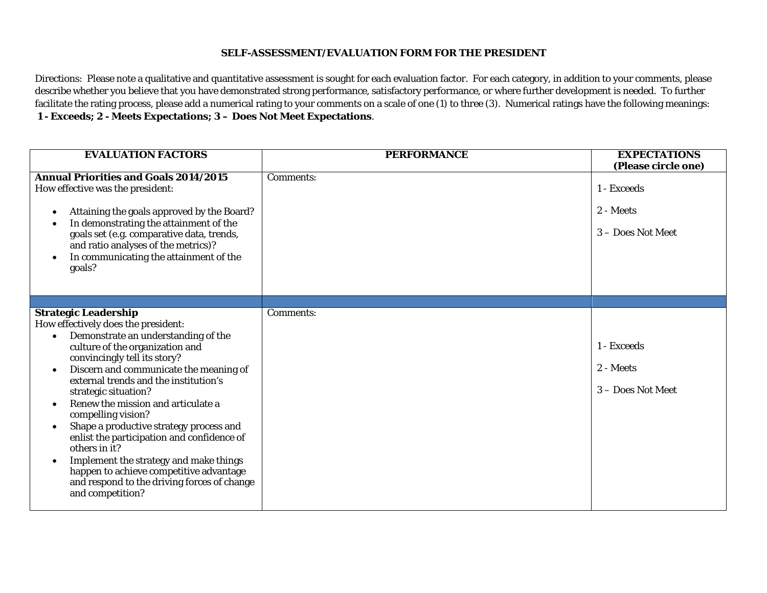## **SELF-ASSESSMENT/EVALUATION FORM FOR THE PRESIDENT**

Directions: Please note a qualitative and quantitative assessment is sought for each evaluation factor. For each category, in addition to your comments, please describe whether you believe that you have demonstrated strong performance, satisfactory performance, or where further development is needed. To further facilitate the rating process, please add a numerical rating to your comments on a scale of one (1) to three (3). Numerical ratings have the following meanings: **1 - Exceeds; 2 - Meets Expectations; 3 – Does Not Meet Expectations**.

| <b>EVALUATION FACTORS</b>                                                                                                                                                                                                                                                                                                                                                                                                                                                                                                                                                                                                                                                              | <b>PERFORMANCE</b> | <b>EXPECTATIONS</b><br>(Please circle one)    |
|----------------------------------------------------------------------------------------------------------------------------------------------------------------------------------------------------------------------------------------------------------------------------------------------------------------------------------------------------------------------------------------------------------------------------------------------------------------------------------------------------------------------------------------------------------------------------------------------------------------------------------------------------------------------------------------|--------------------|-----------------------------------------------|
| <b>Annual Priorities and Goals 2014/2015</b><br>How effective was the president:<br>Attaining the goals approved by the Board?<br>$\bullet$<br>In demonstrating the attainment of the<br>٠<br>goals set (e.g. comparative data, trends,<br>and ratio analyses of the metrics)?<br>In communicating the attainment of the<br>$\bullet$<br>goals?                                                                                                                                                                                                                                                                                                                                        | Comments:          | 1 - Exceeds<br>2 - Meets<br>3 - Does Not Meet |
|                                                                                                                                                                                                                                                                                                                                                                                                                                                                                                                                                                                                                                                                                        |                    |                                               |
| <b>Strategic Leadership</b><br>How effectively does the president:<br>Demonstrate an understanding of the<br>$\bullet$<br>culture of the organization and<br>convincingly tell its story?<br>Discern and communicate the meaning of<br>$\bullet$<br>external trends and the institution's<br>strategic situation?<br>Renew the mission and articulate a<br>$\bullet$<br>compelling vision?<br>Shape a productive strategy process and<br>$\bullet$<br>enlist the participation and confidence of<br>others in it?<br>Implement the strategy and make things<br>$\bullet$<br>happen to achieve competitive advantage<br>and respond to the driving forces of change<br>and competition? | Comments:          | 1 - Exceeds<br>2 - Meets<br>3 - Does Not Meet |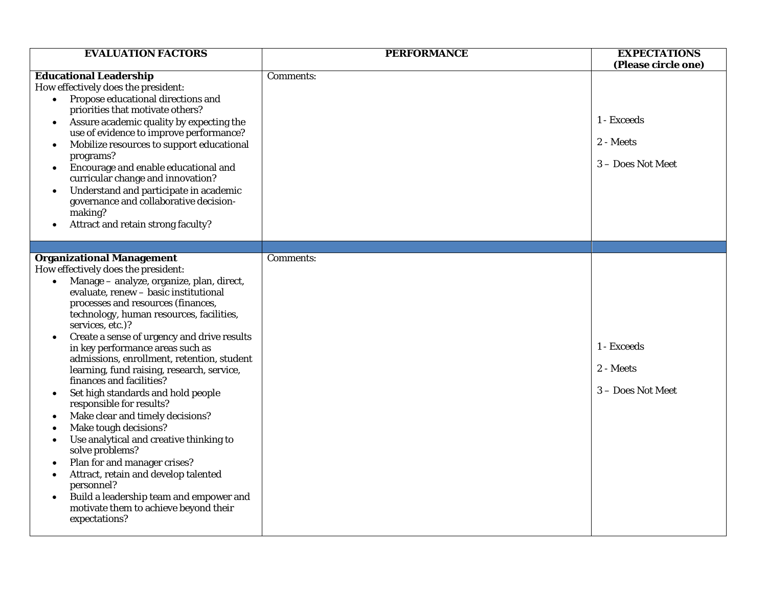| <b>EVALUATION FACTORS</b>                                                                                                                                                                                                                                                                                                                                                                                                                                                                                                                                                                                                                                                                                                                                                                                                                                                                                                                         | <b>PERFORMANCE</b> | <b>EXPECTATIONS</b><br>(Please circle one)    |
|---------------------------------------------------------------------------------------------------------------------------------------------------------------------------------------------------------------------------------------------------------------------------------------------------------------------------------------------------------------------------------------------------------------------------------------------------------------------------------------------------------------------------------------------------------------------------------------------------------------------------------------------------------------------------------------------------------------------------------------------------------------------------------------------------------------------------------------------------------------------------------------------------------------------------------------------------|--------------------|-----------------------------------------------|
| <b>Educational Leadership</b><br>How effectively does the president:<br>Propose educational directions and<br>$\bullet$<br>priorities that motivate others?<br>Assure academic quality by expecting the<br>$\bullet$<br>use of evidence to improve performance?<br>Mobilize resources to support educational<br>$\bullet$<br>programs?<br>Encourage and enable educational and<br>$\bullet$<br>curricular change and innovation?<br>Understand and participate in academic<br>$\bullet$<br>governance and collaborative decision-<br>making?<br>Attract and retain strong faculty?                                                                                                                                                                                                                                                                                                                                                                | Comments:          | 1 - Exceeds<br>2 - Meets<br>3 - Does Not Meet |
|                                                                                                                                                                                                                                                                                                                                                                                                                                                                                                                                                                                                                                                                                                                                                                                                                                                                                                                                                   |                    |                                               |
| <b>Organizational Management</b><br>How effectively does the president:<br>Manage - analyze, organize, plan, direct,<br>$\bullet$<br>evaluate, renew - basic institutional<br>processes and resources (finances,<br>technology, human resources, facilities,<br>services, etc.)?<br>Create a sense of urgency and drive results<br>$\bullet$<br>in key performance areas such as<br>admissions, enrollment, retention, student<br>learning, fund raising, research, service,<br>finances and facilities?<br>Set high standards and hold people<br>٠<br>responsible for results?<br>Make clear and timely decisions?<br>$\bullet$<br>Make tough decisions?<br>Use analytical and creative thinking to<br>٠<br>solve problems?<br>Plan for and manager crises?<br>Attract, retain and develop talented<br>$\bullet$<br>personnel?<br>Build a leadership team and empower and<br>$\bullet$<br>motivate them to achieve beyond their<br>expectations? | Comments:          | 1 - Exceeds<br>2 - Meets<br>3 - Does Not Meet |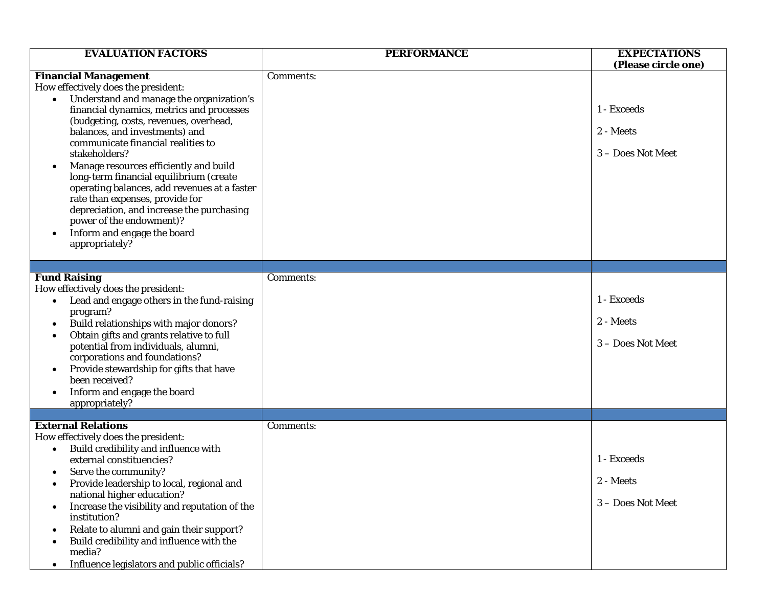| <b>EVALUATION FACTORS</b>                                                                                                                                                                                                                                                                                                                                                                                                                                                                                                                                                                                                  | <b>PERFORMANCE</b> | <b>EXPECTATIONS</b><br>(Please circle one)    |
|----------------------------------------------------------------------------------------------------------------------------------------------------------------------------------------------------------------------------------------------------------------------------------------------------------------------------------------------------------------------------------------------------------------------------------------------------------------------------------------------------------------------------------------------------------------------------------------------------------------------------|--------------------|-----------------------------------------------|
| <b>Financial Management</b><br>How effectively does the president:<br>Understand and manage the organization's<br>financial dynamics, metrics and processes<br>(budgeting, costs, revenues, overhead,<br>balances, and investments) and<br>communicate financial realities to<br>stakeholders?<br>Manage resources efficiently and build<br>$\bullet$<br>long-term financial equilibrium (create<br>operating balances, add revenues at a faster<br>rate than expenses, provide for<br>depreciation, and increase the purchasing<br>power of the endowment)?<br>Inform and engage the board<br>$\bullet$<br>appropriately? | Comments:          | 1 - Exceeds<br>2 - Meets<br>3 - Does Not Meet |
| <b>Fund Raising</b><br>How effectively does the president:<br>Lead and engage others in the fund-raising<br>$\bullet$<br>program?<br>Build relationships with major donors?<br>$\bullet$<br>Obtain gifts and grants relative to full<br>$\bullet$<br>potential from individuals, alumni,<br>corporations and foundations?<br>Provide stewardship for gifts that have<br>$\bullet$<br>been received?<br>Inform and engage the board<br>appropriately?                                                                                                                                                                       | Comments:          | 1 - Exceeds<br>2 - Meets<br>3 - Does Not Meet |
| <b>External Relations</b><br>How effectively does the president:<br>Build credibility and influence with<br>$\bullet$<br>external constituencies?<br>Serve the community?<br>$\bullet$<br>Provide leadership to local, regional and<br>national higher education?<br>Increase the visibility and reputation of the<br>٠<br>institution?<br>Relate to alumni and gain their support?<br>$\bullet$<br>Build credibility and influence with the<br>$\bullet$<br>media?<br>Influence legislators and public officials?<br>$\bullet$                                                                                            | Comments:          | 1 - Exceeds<br>2 - Meets<br>3 - Does Not Meet |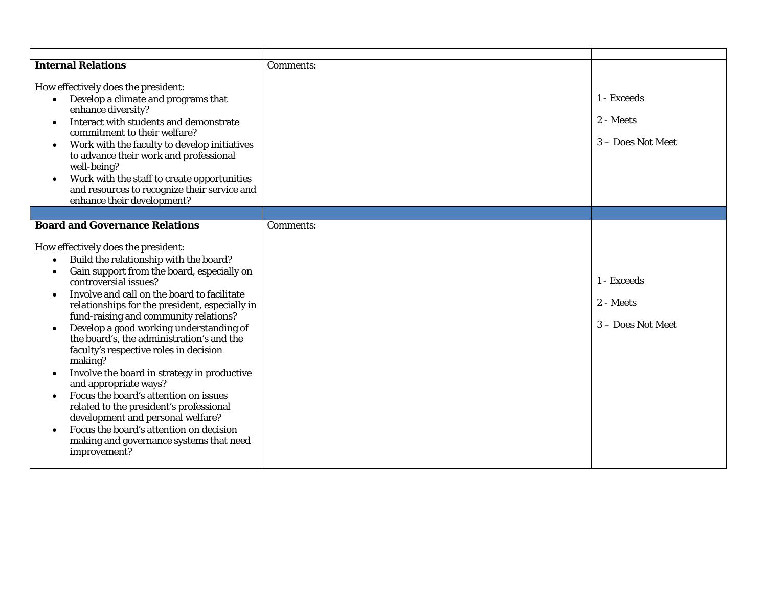| <b>Internal Relations</b>                                                                                                                                                                                                                                                                                                                                                                                                                                                                                                                                                                                                                                                                                                                                                                 | Comments: |                                               |
|-------------------------------------------------------------------------------------------------------------------------------------------------------------------------------------------------------------------------------------------------------------------------------------------------------------------------------------------------------------------------------------------------------------------------------------------------------------------------------------------------------------------------------------------------------------------------------------------------------------------------------------------------------------------------------------------------------------------------------------------------------------------------------------------|-----------|-----------------------------------------------|
| How effectively does the president:<br>Develop a climate and programs that<br>enhance diversity?<br>Interact with students and demonstrate<br>$\bullet$<br>commitment to their welfare?<br>Work with the faculty to develop initiatives<br>٠<br>to advance their work and professional<br>well-being?<br>Work with the staff to create opportunities<br>$\bullet$<br>and resources to recognize their service and<br>enhance their development?                                                                                                                                                                                                                                                                                                                                           |           | 1 - Exceeds<br>2 - Meets<br>3 – Does Not Meet |
|                                                                                                                                                                                                                                                                                                                                                                                                                                                                                                                                                                                                                                                                                                                                                                                           |           |                                               |
| <b>Board and Governance Relations</b>                                                                                                                                                                                                                                                                                                                                                                                                                                                                                                                                                                                                                                                                                                                                                     | Comments: |                                               |
| How effectively does the president:<br>Build the relationship with the board?<br>$\bullet$<br>Gain support from the board, especially on<br>$\bullet$<br>controversial issues?<br>Involve and call on the board to facilitate<br>relationships for the president, especially in<br>fund-raising and community relations?<br>Develop a good working understanding of<br>$\bullet$<br>the board's, the administration's and the<br>faculty's respective roles in decision<br>making?<br>Involve the board in strategy in productive<br>and appropriate ways?<br>Focus the board's attention on issues<br>related to the president's professional<br>development and personal welfare?<br>Focus the board's attention on decision<br>making and governance systems that need<br>improvement? |           | 1 - Exceeds<br>2 - Meets<br>3 - Does Not Meet |